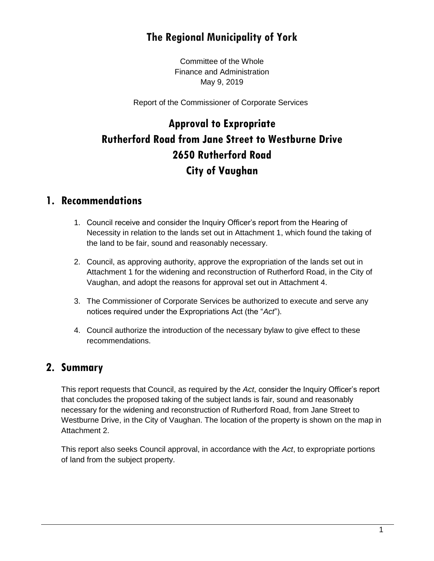# **The Regional Municipality of York**

Committee of the Whole Finance and Administration May 9, 2019

Report of the Commissioner of Corporate Services

# **Approval to Expropriate Rutherford Road from Jane Street to Westburne Drive 2650 Rutherford Road City of Vaughan**

### **1. Recommendations**

- 1. Council receive and consider the Inquiry Officer's report from the Hearing of Necessity in relation to the lands set out in Attachment 1, which found the taking of the land to be fair, sound and reasonably necessary.
- 2. Council, as approving authority, approve the expropriation of the lands set out in Attachment 1 for the widening and reconstruction of Rutherford Road, in the City of Vaughan, and adopt the reasons for approval set out in Attachment 4.
- 3. The Commissioner of Corporate Services be authorized to execute and serve any notices required under the Expropriations Act (the "*Act*").
- 4. Council authorize the introduction of the necessary bylaw to give effect to these recommendations.

### **2. Summary**

This report requests that Council, as required by the *Act*, consider the Inquiry Officer's report that concludes the proposed taking of the subject lands is fair, sound and reasonably necessary for the widening and reconstruction of Rutherford Road, from Jane Street to Westburne Drive, in the City of Vaughan. The location of the property is shown on the map in Attachment 2.

This report also seeks Council approval, in accordance with the *Act*, to expropriate portions of land from the subject property.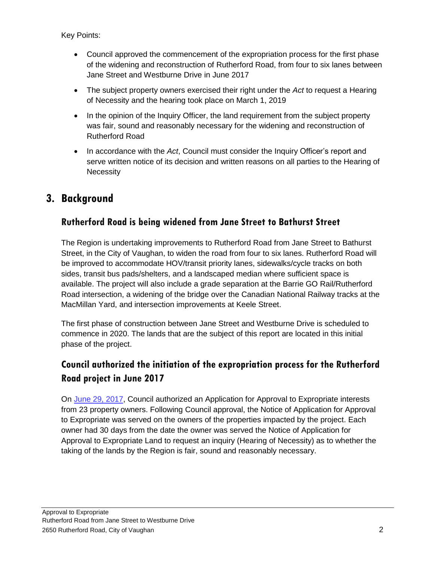- Council approved the commencement of the expropriation process for the first phase of the widening and reconstruction of Rutherford Road, from four to six lanes between Jane Street and Westburne Drive in June 2017
- The subject property owners exercised their right under the *Act* to request a Hearing of Necessity and the hearing took place on March 1, 2019
- In the opinion of the Inquiry Officer, the land requirement from the subject property was fair, sound and reasonably necessary for the widening and reconstruction of Rutherford Road
- In accordance with the *Act*, Council must consider the Inquiry Officer's report and serve written notice of its decision and written reasons on all parties to the Hearing of **Necessity**

## **3. Background**

#### **Rutherford Road is being widened from Jane Street to Bathurst Street**

The Region is undertaking improvements to Rutherford Road from Jane Street to Bathurst Street, in the City of Vaughan, to widen the road from four to six lanes. Rutherford Road will be improved to accommodate HOV/transit priority lanes, sidewalks/cycle tracks on both sides, transit bus pads/shelters, and a landscaped median where sufficient space is available. The project will also include a grade separation at the Barrie GO Rail/Rutherford Road intersection, a widening of the bridge over the Canadian National Railway tracks at the MacMillan Yard, and intersection improvements at Keele Street.

The first phase of construction between Jane Street and Westburne Drive is scheduled to commence in 2020. The lands that are the subject of this report are located in this initial phase of the project.

### **Council authorized the initiation of the expropriation process for the Rutherford Road project in June 2017**

On [June 29, 2017,](https://www.york.ca/wps/wcm/connect/yorkpublic/e5b57684-5003-437a-ba99-2d1085c9969c/jun+22+rutherford+ex.pdf?MOD=AJPERES) Council authorized an Application for Approval to Expropriate interests from 23 property owners. Following Council approval, the Notice of Application for Approval to Expropriate was served on the owners of the properties impacted by the project. Each owner had 30 days from the date the owner was served the Notice of Application for Approval to Expropriate Land to request an inquiry (Hearing of Necessity) as to whether the taking of the lands by the Region is fair, sound and reasonably necessary.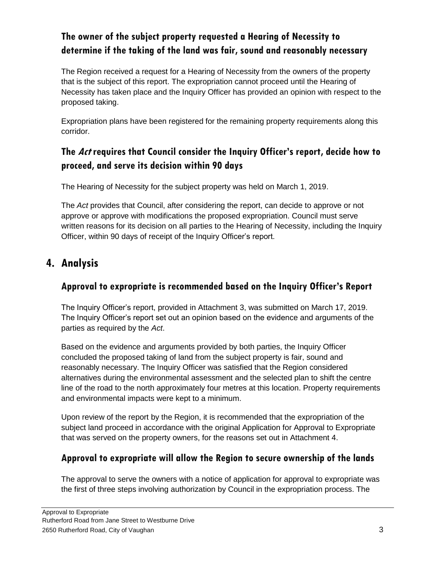### **The owner of the subject property requested a Hearing of Necessity to determine if the taking of the land was fair, sound and reasonably necessary**

The Region received a request for a Hearing of Necessity from the owners of the property that is the subject of this report. The expropriation cannot proceed until the Hearing of Necessity has taken place and the Inquiry Officer has provided an opinion with respect to the proposed taking.

Expropriation plans have been registered for the remaining property requirements along this corridor.

### **The Act requires that Council consider the Inquiry Officer's report, decide how to proceed, and serve its decision within 90 days**

The Hearing of Necessity for the subject property was held on March 1, 2019.

The *Act* provides that Council, after considering the report, can decide to approve or not approve or approve with modifications the proposed expropriation. Council must serve written reasons for its decision on all parties to the Hearing of Necessity, including the Inquiry Officer, within 90 days of receipt of the Inquiry Officer's report.

# **4. Analysis**

### **Approval to expropriate is recommended based on the Inquiry Officer's Report**

The Inquiry Officer's report, provided in Attachment 3, was submitted on March 17, 2019. The Inquiry Officer's report set out an opinion based on the evidence and arguments of the parties as required by the *Act*.

Based on the evidence and arguments provided by both parties, the Inquiry Officer concluded the proposed taking of land from the subject property is fair, sound and reasonably necessary. The Inquiry Officer was satisfied that the Region considered alternatives during the environmental assessment and the selected plan to shift the centre line of the road to the north approximately four metres at this location. Property requirements and environmental impacts were kept to a minimum.

Upon review of the report by the Region, it is recommended that the expropriation of the subject land proceed in accordance with the original Application for Approval to Expropriate that was served on the property owners, for the reasons set out in Attachment 4.

### **Approval to expropriate will allow the Region to secure ownership of the lands**

The approval to serve the owners with a notice of application for approval to expropriate was the first of three steps involving authorization by Council in the expropriation process. The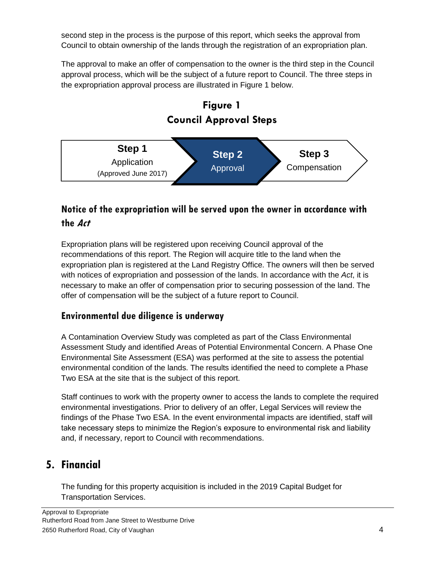second step in the process is the purpose of this report, which seeks the approval from Council to obtain ownership of the lands through the registration of an expropriation plan.

The approval to make an offer of compensation to the owner is the third step in the Council approval process, which will be the subject of a future report to Council. The three steps in the expropriation approval process are illustrated in Figure 1 below.



# **Notice of the expropriation will be served upon the owner in accordance with the Act**

Expropriation plans will be registered upon receiving Council approval of the recommendations of this report. The Region will acquire title to the land when the expropriation plan is registered at the Land Registry Office. The owners will then be served with notices of expropriation and possession of the lands. In accordance with the *Act*, it is necessary to make an offer of compensation prior to securing possession of the land. The offer of compensation will be the subject of a future report to Council.

#### **Environmental due diligence is underway**

A Contamination Overview Study was completed as part of the Class Environmental Assessment Study and identified Areas of Potential Environmental Concern. A Phase One Environmental Site Assessment (ESA) was performed at the site to assess the potential environmental condition of the lands. The results identified the need to complete a Phase Two ESA at the site that is the subject of this report.

Staff continues to work with the property owner to access the lands to complete the required environmental investigations. Prior to delivery of an offer, Legal Services will review the findings of the Phase Two ESA. In the event environmental impacts are identified, staff will take necessary steps to minimize the Region's exposure to environmental risk and liability and, if necessary, report to Council with recommendations.

# **5. Financial**

The funding for this property acquisition is included in the 2019 Capital Budget for Transportation Services.